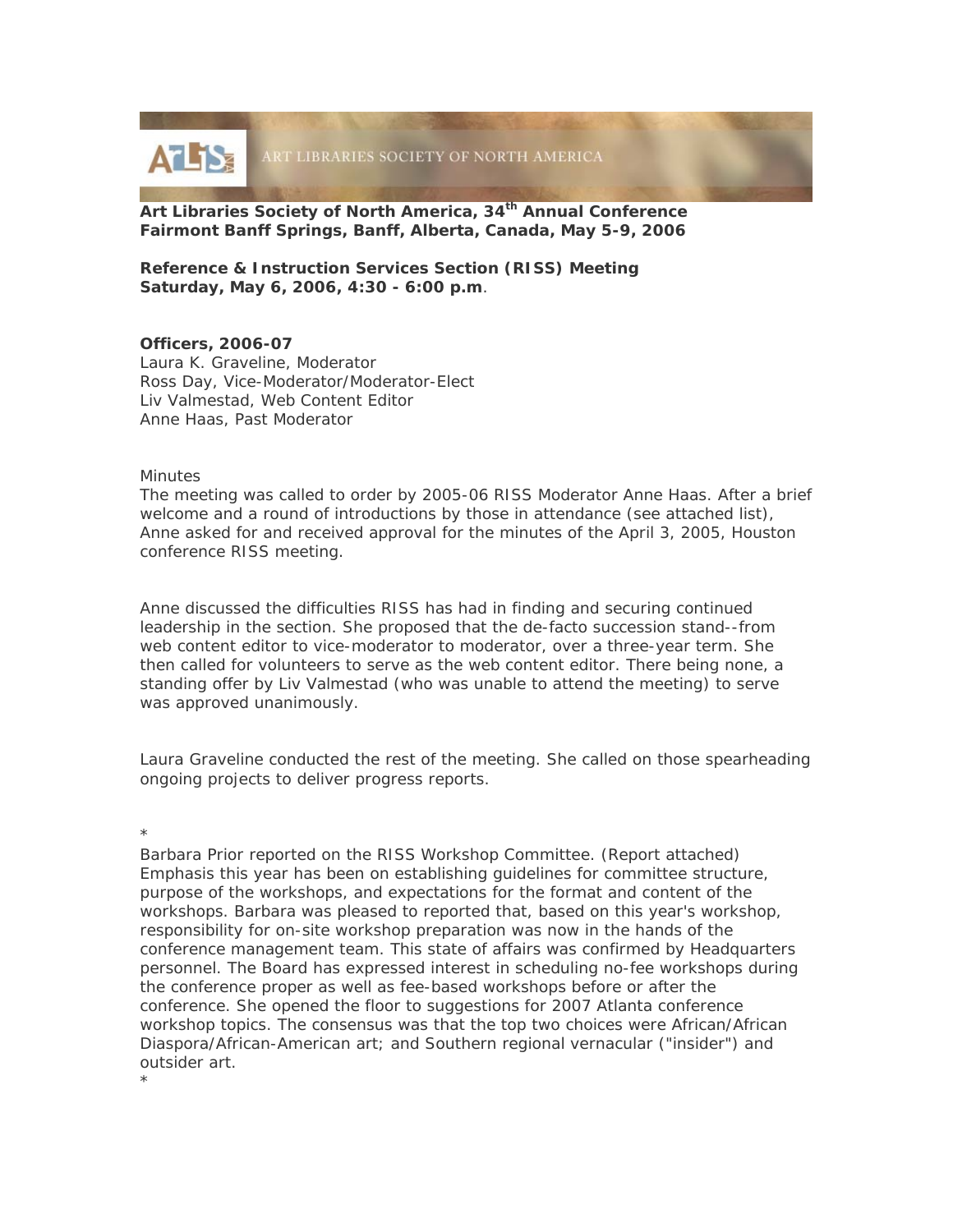

**Art Libraries Society of North America, 34th Annual Conference Fairmont Banff Springs, Banff, Alberta, Canada, May 5-9, 2006** 

**Reference & Instruction Services Section (RISS) Meeting Saturday, May 6, 2006, 4:30 - 6:00 p.m**.

## **Officers, 2006-07**

Laura K. Graveline, Moderator Ross Day, Vice-Moderator/Moderator-Elect Liv Valmestad, Web Content Editor Anne Haas, Past Moderator

## **Minutes**

The meeting was called to order by 2005-06 RISS Moderator Anne Haas. After a brief welcome and a round of introductions by those in attendance (see attached list), Anne asked for and received approval for the minutes of the April 3, 2005, Houston conference RISS meeting.

Anne discussed the difficulties RISS has had in finding and securing continued leadership in the section. She proposed that the de-facto succession stand--from web content editor to vice-moderator to moderator, over a three-year term. She then called for volunteers to serve as the web content editor. There being none, a standing offer by Liv Valmestad (who was unable to attend the meeting) to serve was approved unanimously.

Laura Graveline conducted the rest of the meeting. She called on those spearheading ongoing projects to deliver progress reports.

\*

\*

Barbara Prior reported on the RISS Workshop Committee. (Report attached) Emphasis this year has been on establishing guidelines for committee structure, purpose of the workshops, and expectations for the format and content of the workshops. Barbara was pleased to reported that, based on this year's workshop, responsibility for on-site workshop preparation was now in the hands of the conference management team. This state of affairs was confirmed by Headquarters personnel. The Board has expressed interest in scheduling no-fee workshops during the conference proper as well as fee-based workshops before or after the conference. She opened the floor to suggestions for 2007 Atlanta conference workshop topics. The consensus was that the top two choices were African/African Diaspora/African-American art; and Southern regional vernacular ("insider") and outsider art.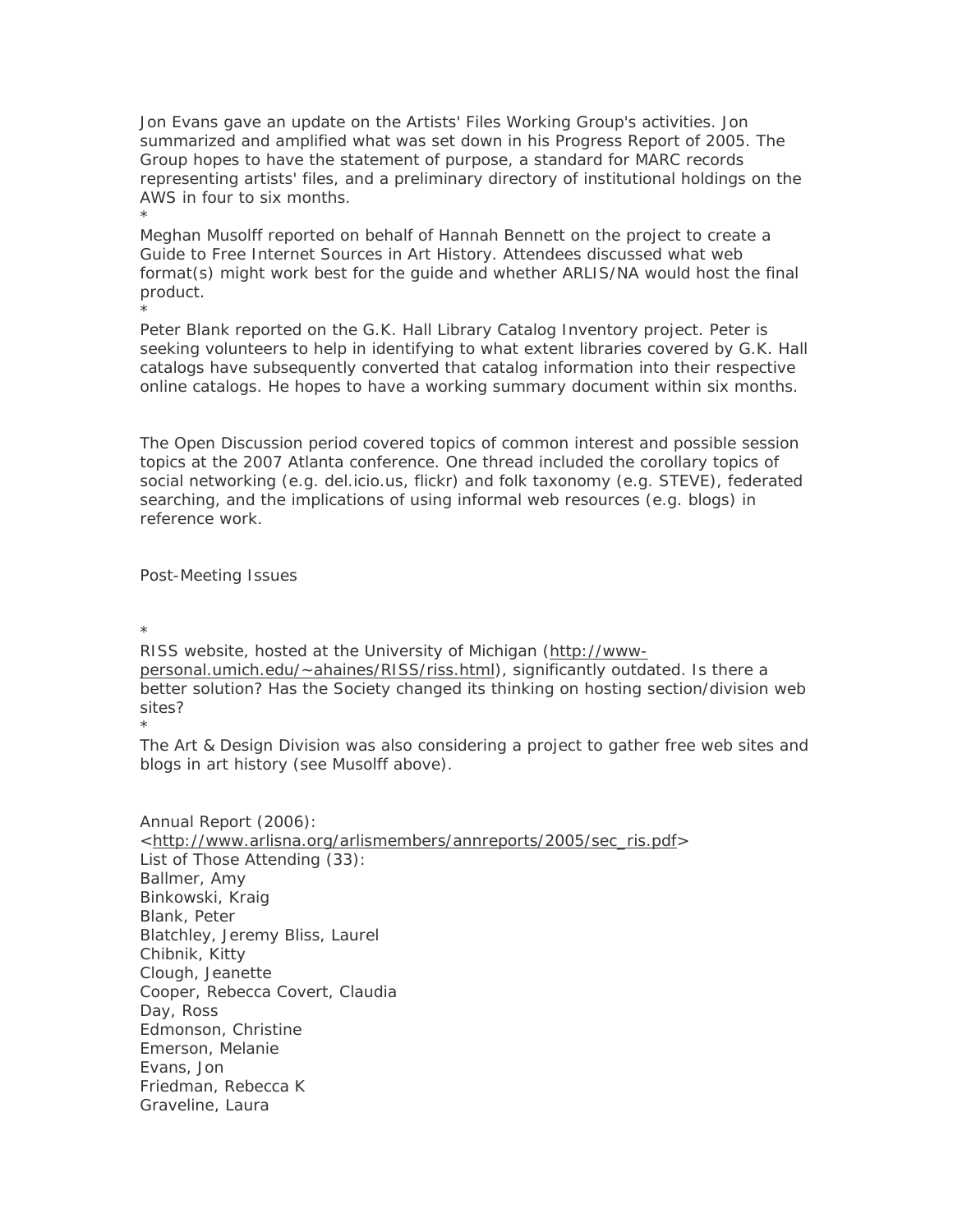Jon Evans gave an update on the Artists' Files Working Group's activities. Jon summarized and amplified what was set down in his Progress Report of 2005. The Group hopes to have the statement of purpose, a standard for MARC records representing artists' files, and a preliminary directory of institutional holdings on the AWS in four to six months.

Meghan Musolff reported on behalf of Hannah Bennett on the project to create a Guide to Free Internet Sources in Art History. Attendees discussed what web format(s) might work best for the guide and whether ARLIS/NA would host the final product.

Peter Blank reported on the G.K. Hall Library Catalog Inventory project. Peter is seeking volunteers to help in identifying to what extent libraries covered by G.K. Hall catalogs have subsequently converted that catalog information into their respective online catalogs. He hopes to have a working summary document within six months.

The Open Discussion period covered topics of common interest and possible session topics at the 2007 Atlanta conference. One thread included the corollary topics of social networking (e.g. del.icio.us, flickr) and folk taxonomy (e.g. STEVE), federated searching, and the implications of using informal web resources (e.g. blogs) in reference work.

Post-Meeting Issues

\*

\*

\*

RISS website, hosted at the University of Michigan (http://wwwpersonal.umich.edu/~ahaines/RISS/riss.html), significantly outdated. Is there a better solution? Has the Society changed its thinking on hosting section/division web sites? \*

The Art & Design Division was also considering a project to gather free web sites and blogs in art history (see Musolff above).

Annual Report (2006): <http://www.arlisna.org/arlismembers/annreports/2005/sec\_ris.pdf> List of Those Attending (33): Ballmer, Amy Binkowski, Kraig Blank, Peter Blatchley, Jeremy Bliss, Laurel Chibnik, Kitty Clough, Jeanette Cooper, Rebecca Covert, Claudia Day, Ross Edmonson, Christine Emerson, Melanie Evans, Jon Friedman, Rebecca K Graveline, Laura